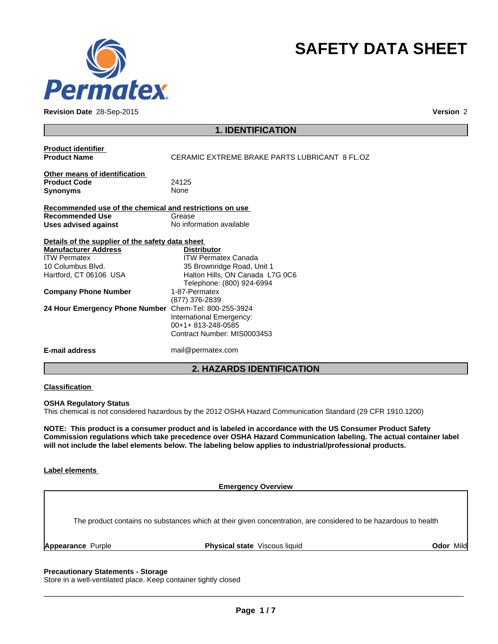

**Revision Date** 28-Sep-2015 **Version** 2

# **SAFETY DATA SHEET**

| <b>Product identifier</b><br><b>Product Name</b>        | CERAMIC EXTREME BRAKE PARTS LUBRICANT 8 FL 07 |  |
|---------------------------------------------------------|-----------------------------------------------|--|
|                                                         |                                               |  |
| Other means of identification                           |                                               |  |
| <b>Product Code</b>                                     | 24125                                         |  |
| <b>Synonyms</b>                                         | <b>None</b>                                   |  |
| Recommended use of the chemical and restrictions on use |                                               |  |
| <b>Recommended Use</b>                                  | Grease                                        |  |
| Uses advised against                                    | No information available                      |  |
|                                                         |                                               |  |
| Details of the supplier of the safety data sheet        |                                               |  |
| <b>Manufacturer Address</b>                             | <b>Distributor</b>                            |  |
| <b>ITW Permatex</b>                                     | <b>ITW Permatex Canada</b>                    |  |
| 10 Columbus Blvd.                                       | 35 Brownridge Road, Unit 1                    |  |
| Hartford, CT 06106 USA                                  | Halton Hills, ON Canada L7G 0C6               |  |
|                                                         | Telephone: (800) 924-6994                     |  |
| <b>Company Phone Number</b>                             | 1-87-Permatex                                 |  |
|                                                         | (877) 376-2839                                |  |
| 24 Hour Emergency Phone Number                          | Chem-Tel: 800-255-3924                        |  |
|                                                         | International Emergency:                      |  |
|                                                         | 00+1+813-248-0585                             |  |
|                                                         | Contract Number: MIS0003453                   |  |
| <b>E-mail address</b>                                   | mail@permatex.com                             |  |

# **2. HAZARDS IDENTIFICATION**

## **Classification**

#### **OSHA Regulatory Status**

This chemical is not considered hazardous by the 2012 OSHA Hazard Communication Standard (29 CFR 1910.1200)

**NOTE: This product is a consumer product and is labeled in accordance with the US Consumer Product Safety Commission regulations which take precedence over OSHA Hazard Communication labeling. The actual container label will not include the label elements below. The labeling below applies to industrial/professional products.**

#### **Label elements**

**Emergency Overview**

The product contains no substances which at their given concentration, are considered to be hazardous to health

**Appearance Purple Community Community Physical state** Viscous liquid **Physical State Community Collection** Community

## **Precautionary Statements - Storage**

Store in a well-ventilated place. Keep container tightly closed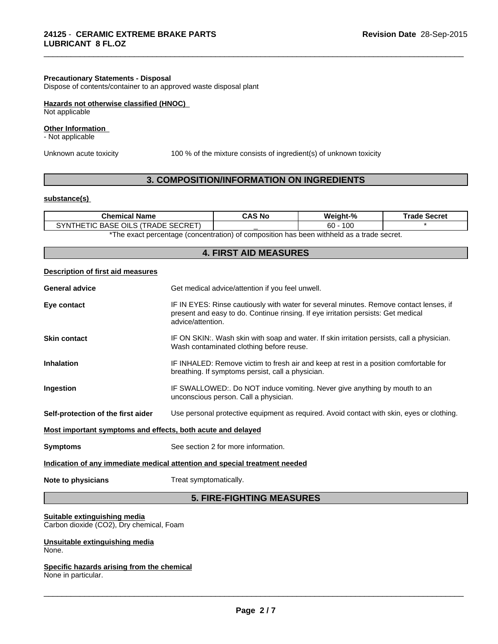#### **Precautionary Statements - Disposal**

Dispose of contents/container to an approved waste disposal plant

## **Hazards not otherwise classified (HNOC)**

Not applicable

#### **Other Information**

- Not applicable

Unknown acute toxicity 100 % of the mixture consists of ingredient(s) of unknown toxicity

\_\_\_\_\_\_\_\_\_\_\_\_\_\_\_\_\_\_\_\_\_\_\_\_\_\_\_\_\_\_\_\_\_\_\_\_\_\_\_\_\_\_\_\_\_\_\_\_\_\_\_\_\_\_\_\_\_\_\_\_\_\_\_\_\_\_\_\_\_\_\_\_\_\_\_\_\_\_\_\_\_\_\_\_\_\_\_\_\_\_\_\_\_

# **3. COMPOSITION/INFORMATION ON INGREDIENTS**

## **substance(s)**

| Name<br>`hen<br>нса                                                              | `AS No | Weight-%  | :arra<br>г.<br>つこしにに |
|----------------------------------------------------------------------------------|--------|-----------|----------------------|
| ECRET<br><b>SF</b><br>$\gamma_{\rm NL}$<br>ിഥ<br>ADE<br>BASE<br>нF<br>l I (<br>. |        | 100<br>60 |                      |

\*The exact percentage (concentration) of composition has been withheld as a trade secret.

| <b>4. FIRST AID MEASURES</b>                                               |                                                                                                                                                                                                  |  |
|----------------------------------------------------------------------------|--------------------------------------------------------------------------------------------------------------------------------------------------------------------------------------------------|--|
| Description of first aid measures                                          |                                                                                                                                                                                                  |  |
| <b>General advice</b>                                                      | Get medical advice/attention if you feel unwell.                                                                                                                                                 |  |
| Eye contact                                                                | IF IN EYES: Rinse cautiously with water for several minutes. Remove contact lenses, if<br>present and easy to do. Continue rinsing. If eye irritation persists: Get medical<br>advice/attention. |  |
| <b>Skin contact</b>                                                        | IF ON SKIN:. Wash skin with soap and water. If skin irritation persists, call a physician.<br>Wash contaminated clothing before reuse.                                                           |  |
| <b>Inhalation</b>                                                          | IF INHALED: Remove victim to fresh air and keep at rest in a position comfortable for<br>breathing. If symptoms persist, call a physician.                                                       |  |
| Ingestion                                                                  | IF SWALLOWED:. Do NOT induce vomiting. Never give anything by mouth to an<br>unconscious person. Call a physician.                                                                               |  |
| Self-protection of the first aider                                         | Use personal protective equipment as required. Avoid contact with skin, eyes or clothing.                                                                                                        |  |
| Most important symptoms and effects, both acute and delayed                |                                                                                                                                                                                                  |  |
| <b>Symptoms</b>                                                            | See section 2 for more information.                                                                                                                                                              |  |
| Indication of any immediate medical attention and special treatment needed |                                                                                                                                                                                                  |  |
| Note to physicians                                                         | Treat symptomatically.                                                                                                                                                                           |  |
|                                                                            | <b>5. FIRE-FIGHTING MEASURES</b>                                                                                                                                                                 |  |

#### **Suitable extinguishing media**

Carbon dioxide (CO2), Dry chemical, Foam

#### **Unsuitable extinguishing media** None.

#### **Specific hazards arising from the chemical** None in particular.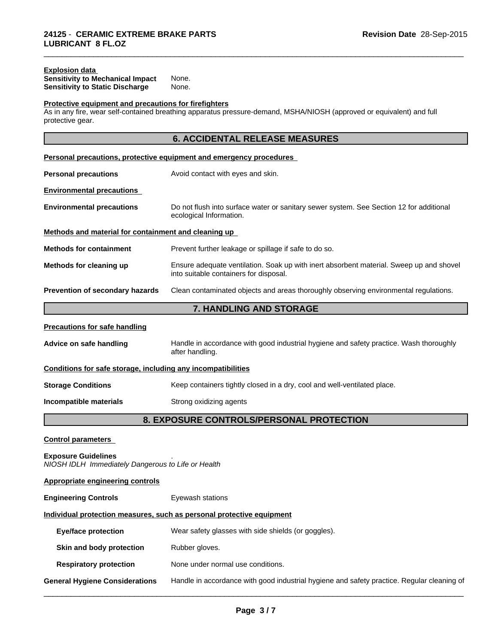## **Explosion data**

| <b>Sensitivity to Mechanical Impact</b> | None. |  |
|-----------------------------------------|-------|--|
| Sensitivity to Static Discharge         | None. |  |

## **Protective equipment and precautions for firefighters**

As in any fire, wear self-contained breathing apparatus pressure-demand, MSHA/NIOSH (approved or equivalent) and full protective gear.

\_\_\_\_\_\_\_\_\_\_\_\_\_\_\_\_\_\_\_\_\_\_\_\_\_\_\_\_\_\_\_\_\_\_\_\_\_\_\_\_\_\_\_\_\_\_\_\_\_\_\_\_\_\_\_\_\_\_\_\_\_\_\_\_\_\_\_\_\_\_\_\_\_\_\_\_\_\_\_\_\_\_\_\_\_\_\_\_\_\_\_\_\_

|                                                                                  | <b>6. ACCIDENTAL RELEASE MEASURES</b>                                                                                             |
|----------------------------------------------------------------------------------|-----------------------------------------------------------------------------------------------------------------------------------|
|                                                                                  | Personal precautions, protective equipment and emergency procedures                                                               |
| <b>Personal precautions</b>                                                      | Avoid contact with eyes and skin.                                                                                                 |
| <b>Environmental precautions</b>                                                 |                                                                                                                                   |
| <b>Environmental precautions</b>                                                 | Do not flush into surface water or sanitary sewer system. See Section 12 for additional<br>ecological Information.                |
| Methods and material for containment and cleaning up                             |                                                                                                                                   |
| <b>Methods for containment</b>                                                   | Prevent further leakage or spillage if safe to do so.                                                                             |
| Methods for cleaning up                                                          | Ensure adequate ventilation. Soak up with inert absorbent material. Sweep up and shovel<br>into suitable containers for disposal. |
| Prevention of secondary hazards                                                  | Clean contaminated objects and areas thoroughly observing environmental regulations.                                              |
|                                                                                  | 7. HANDLING AND STORAGE                                                                                                           |
| <b>Precautions for safe handling</b>                                             |                                                                                                                                   |
| Advice on safe handling                                                          | Handle in accordance with good industrial hygiene and safety practice. Wash thoroughly<br>after handling.                         |
| Conditions for safe storage, including any incompatibilities                     |                                                                                                                                   |
| <b>Storage Conditions</b>                                                        | Keep containers tightly closed in a dry, cool and well-ventilated place.                                                          |
| Incompatible materials                                                           | Strong oxidizing agents                                                                                                           |
|                                                                                  | 8. EXPOSURE CONTROLS/PERSONAL PROTECTION                                                                                          |
| <b>Control parameters</b>                                                        |                                                                                                                                   |
| <b>Exposure Guidelines</b><br>NIOSH IDLH Immediately Dangerous to Life or Health |                                                                                                                                   |
| <b>Appropriate engineering controls</b>                                          |                                                                                                                                   |
| <b>Engineering Controls</b>                                                      | Eyewash stations                                                                                                                  |
|                                                                                  | Individual protection measures, such as personal protective equipment                                                             |
| <b>Eye/face protection</b>                                                       | Wear safety glasses with side shields (or goggles).                                                                               |
| Skin and body protection                                                         | Rubber gloves.                                                                                                                    |
| <b>Respiratory protection</b>                                                    | None under normal use conditions.                                                                                                 |
| <b>General Hygiene Considerations</b>                                            | Handle in accordance with good industrial hygiene and safety practice. Regular cleaning of                                        |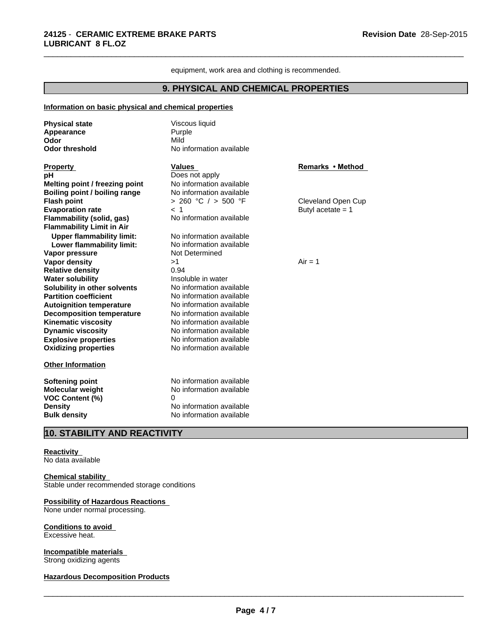equipment, work area and clothing is recommended.

\_\_\_\_\_\_\_\_\_\_\_\_\_\_\_\_\_\_\_\_\_\_\_\_\_\_\_\_\_\_\_\_\_\_\_\_\_\_\_\_\_\_\_\_\_\_\_\_\_\_\_\_\_\_\_\_\_\_\_\_\_\_\_\_\_\_\_\_\_\_\_\_\_\_\_\_\_\_\_\_\_\_\_\_\_\_\_\_\_\_\_\_\_

## **9. PHYSICAL AND CHEMICAL PROPERTIES**

## **Information on basic physical and chemical properties**

| <b>Physical state</b>            | Viscous liquid<br>Purple |                     |
|----------------------------------|--------------------------|---------------------|
| Appearance<br>Odor               | Mild                     |                     |
| <b>Odor threshold</b>            | No information available |                     |
|                                  |                          |                     |
| <b>Property</b>                  | <b>Values</b>            | Remarks • Method    |
| рH                               | Does not apply           |                     |
| Melting point / freezing point   | No information available |                     |
| Boiling point / boiling range    | No information available |                     |
| <b>Flash point</b>               | $> 260$ °C $/ > 500$ °F  | Cleveland Open Cup  |
| <b>Evaporation rate</b>          | < 1                      | Butyl acetate $= 1$ |
| Flammability (solid, gas)        | No information available |                     |
| <b>Flammability Limit in Air</b> |                          |                     |
| <b>Upper flammability limit:</b> | No information available |                     |
| Lower flammability limit:        | No information available |                     |
| Vapor pressure                   | Not Determined           |                     |
| <b>Vapor density</b>             | >1                       | $Air = 1$           |
| <b>Relative density</b>          | 0.94                     |                     |
| <b>Water solubility</b>          | Insoluble in water       |                     |
| Solubility in other solvents     | No information available |                     |
| <b>Partition coefficient</b>     | No information available |                     |
| <b>Autoignition temperature</b>  | No information available |                     |
| <b>Decomposition temperature</b> | No information available |                     |
| <b>Kinematic viscosity</b>       | No information available |                     |
| <b>Dynamic viscosity</b>         | No information available |                     |
| <b>Explosive properties</b>      | No information available |                     |
| <b>Oxidizing properties</b>      | No information available |                     |
| <b>Other Information</b>         |                          |                     |
| <b>Softening point</b>           | No information available |                     |
| Molecular weight                 | No information available |                     |
| <b>VOC Content (%)</b>           | 0                        |                     |
| <b>Density</b>                   | No information available |                     |
| <b>Bulk density</b>              | No information available |                     |

# **10. STABILITY AND REACTIVITY**

#### **Reactivity**

No data available

## **Chemical stability**

Stable under recommended storage conditions

## **Possibility of Hazardous Reactions**

None under normal processing.

### **Conditions to avoid**

Excessive heat.

# **Incompatible materials**

Strong oxidizing agents

## **Hazardous Decomposition Products**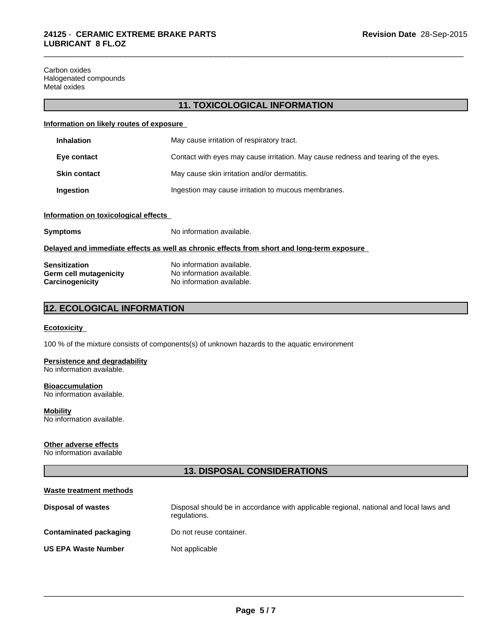Carbon oxides Halogenated compounds Metal oxides

## **11. TOXICOLOGICAL INFORMATION**

## **Information on likely routes of exposure**

| <b>Inhalation</b>   | May cause irritation of respiratory tract.                                         |
|---------------------|------------------------------------------------------------------------------------|
| Eye contact         | Contact with eyes may cause irritation. May cause redness and tearing of the eyes. |
| <b>Skin contact</b> | May cause skin irritation and/or dermatitis.                                       |
| Ingestion           | Ingestion may cause irritation to mucous membranes.                                |

## **Information on toxicological effects**

| <b>Symptoms</b> | No information available. |
|-----------------|---------------------------|
|                 |                           |

#### **Delayed and immediate effects as well as chronic effects from short and long-term exposure**

| <b>Sensitization</b>   | No information available. |
|------------------------|---------------------------|
| Germ cell mutagenicity | No information available. |
| Carcinogenicity        | No information available. |

# **12. ECOLOGICAL INFORMATION**

## **Ecotoxicity**

100 % of the mixture consists of components(s) of unknown hazards to the aquatic environment

## **Persistence and degradability**

No information available.

**Bioaccumulation** No information available.

**Mobility** No information available.

#### **Other adverse effects**

No information available

# **13. DISPOSAL CONSIDERATIONS**

| Waste treatment methods       |                                                                                                        |
|-------------------------------|--------------------------------------------------------------------------------------------------------|
| <b>Disposal of wastes</b>     | Disposal should be in accordance with applicable regional, national and local laws and<br>regulations. |
| <b>Contaminated packaging</b> | Do not reuse container.                                                                                |
| <b>US EPA Waste Number</b>    | Not applicable                                                                                         |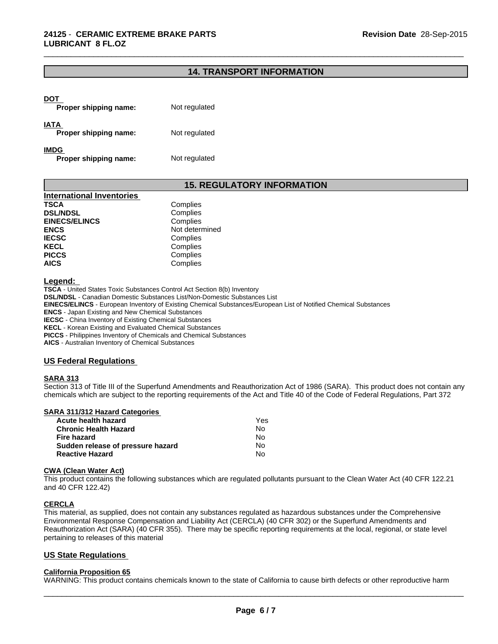# **14. TRANSPORT INFORMATION**

\_\_\_\_\_\_\_\_\_\_\_\_\_\_\_\_\_\_\_\_\_\_\_\_\_\_\_\_\_\_\_\_\_\_\_\_\_\_\_\_\_\_\_\_\_\_\_\_\_\_\_\_\_\_\_\_\_\_\_\_\_\_\_\_\_\_\_\_\_\_\_\_\_\_\_\_\_\_\_\_\_\_\_\_\_\_\_\_\_\_\_\_\_

| DOT<br>Proper shipping name:         | Not regulated |
|--------------------------------------|---------------|
| IATA<br>Proper shipping name:        | Not regulated |
| <b>IMDG</b><br>Proper shipping name: | Not regulated |

# **15. REGULATORY INFORMATION**

| <b>International Inventories</b> |                |
|----------------------------------|----------------|
| <b>TSCA</b>                      | Complies       |
| <b>DSL/NDSL</b>                  | Complies       |
| <b>EINECS/ELINCS</b>             | Complies       |
| <b>ENCS</b>                      | Not determined |
| <b>IECSC</b>                     | Complies       |
| <b>KECL</b>                      | Complies       |
| <b>PICCS</b>                     | Complies       |
| <b>AICS</b>                      | Complies       |

**Legend:** 

**TSCA** - United States Toxic Substances Control Act Section 8(b) Inventory **DSL/NDSL** - Canadian Domestic Substances List/Non-Domestic Substances List **EINECS/ELINCS** - European Inventory of Existing Chemical Substances/European List of Notified Chemical Substances **ENCS** - Japan Existing and New Chemical Substances **IECSC** - China Inventory of Existing Chemical Substances **KECL** - Korean Existing and Evaluated Chemical Substances **PICCS** - Philippines Inventory of Chemicals and Chemical Substances **AICS** - Australian Inventory of Chemical Substances

#### **US Federal Regulations**

## **SARA 313**

Section 313 of Title III of the Superfund Amendments and Reauthorization Act of 1986 (SARA). This product does not contain any chemicals which are subject to the reporting requirements of the Act and Title 40 of the Code of Federal Regulations, Part 372

## **SARA 311/312 Hazard Categories**

| Acute health hazard               | Yes |  |
|-----------------------------------|-----|--|
| Chronic Health Hazard             | No. |  |
| Fire hazard                       | N∩  |  |
| Sudden release of pressure hazard | No. |  |
| <b>Reactive Hazard</b>            | N٥  |  |

#### **CWA (Clean Water Act)**

This product contains the following substances which are regulated pollutants pursuant to the Clean Water Act (40 CFR 122.21 and 40 CFR 122.42)

#### **CERCLA**

This material, as supplied, does not contain any substances regulated as hazardous substances under the Comprehensive Environmental Response Compensation and Liability Act (CERCLA) (40 CFR 302) or the Superfund Amendments and Reauthorization Act (SARA) (40 CFR 355). There may be specific reporting requirements at the local, regional, or state level pertaining to releases of this material

## **US State Regulations**

#### **California Proposition 65**

WARNING: This product contains chemicals known to the state of California to cause birth defects or other reproductive harm